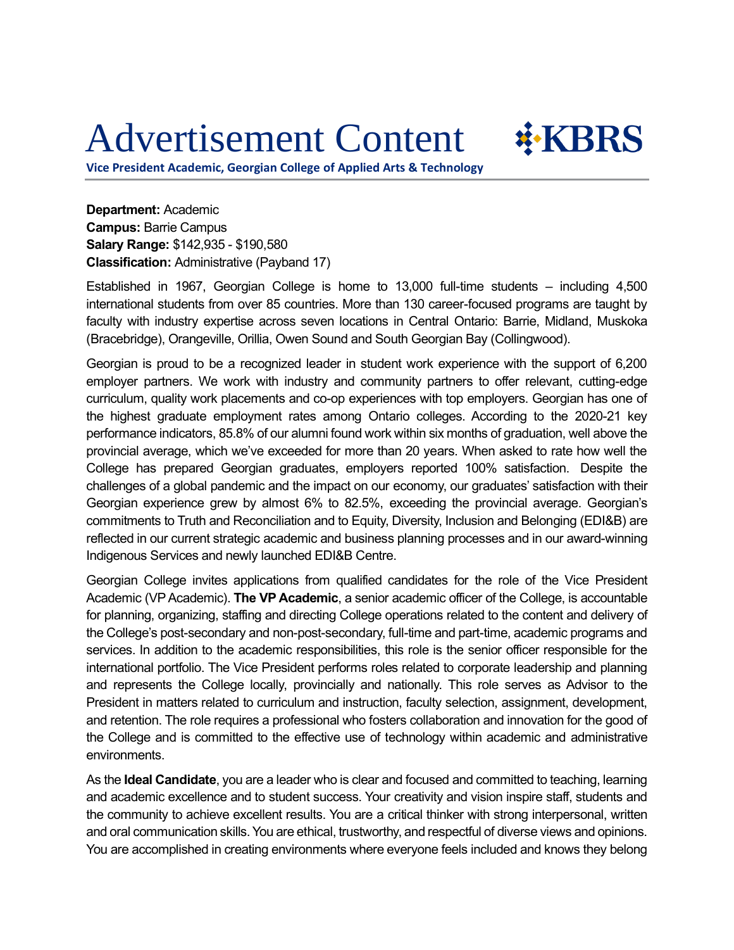## Advertisement Content



**Vice President Academic, Georgian College of Applied Arts & Technology**

**Department:** Academic **Campus:** Barrie Campus **Salary Range:** \$142,935 - \$190,580 **Classification:** Administrative (Payband 17)

Established in 1967, Georgian College is home to 13,000 full-time students – including 4,500 international students from over 85 countries. More than 130 career-focused programs are taught by faculty with industry expertise across seven locations in Central Ontario: Barrie, Midland, Muskoka (Bracebridge), Orangeville, Orillia, Owen Sound and South Georgian Bay (Collingwood).

Georgian is proud to be a recognized leader in student work experience with the support of 6,200 employer partners. We work with industry and community partners to offer relevant, cutting-edge curriculum, quality work placements and co-op experiences with top employers. Georgian has one of the highest graduate employment rates among Ontario colleges. According to the 2020-21 key performance indicators, 85.8% of our alumni found work within six months of graduation, well above the provincial average, which we've exceeded for more than 20 years. When asked to rate how well the College has prepared Georgian graduates, employers reported 100% satisfaction. Despite the challenges of a global pandemic and the impact on our economy, our graduates' satisfaction with their Georgian experience grew by almost 6% to 82.5%, exceeding the provincial average. Georgian's commitments to Truth and Reconciliation and to Equity, Diversity, Inclusion and Belonging (EDI&B) are reflected in our current strategic academic and business planning processes and in our award-winning Indigenous Services and newly launched EDI&B Centre.

Georgian College invites applications from qualified candidates for the role of the Vice President Academic (VPAcademic). **The VP Academic**, a senior academic officer of the College, is accountable for planning, organizing, staffing and directing College operations related to the content and delivery of the College's post-secondary and non-post-secondary, full-time and part-time, academic programs and services. In addition to the academic responsibilities, this role is the senior officer responsible for the international portfolio. The Vice President performs roles related to corporate leadership and planning and represents the College locally, provincially and nationally. This role serves as Advisor to the President in matters related to curriculum and instruction, faculty selection, assignment, development, and retention. The role requires a professional who fosters collaboration and innovation for the good of the College and is committed to the effective use of technology within academic and administrative environments.

As the **Ideal Candidate**, you are a leader who is clear and focused and committed to teaching, learning and academic excellence and to student success. Your creativity and vision inspire staff, students and the community to achieve excellent results. You are a critical thinker with strong interpersonal, written and oral communication skills. You are ethical, trustworthy, and respectful of diverse views and opinions. You are accomplished in creating environments where everyone feels included and knows they belong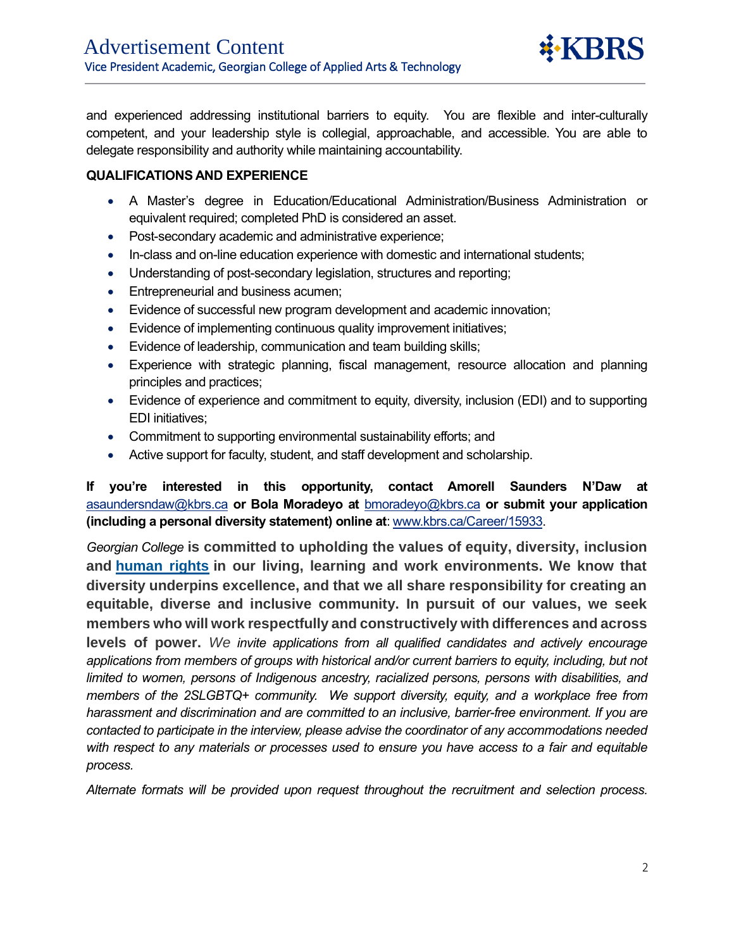and experienced addressing institutional barriers to equity. You are flexible and inter-culturally competent, and your leadership style is collegial, approachable, and accessible. You are able to delegate responsibility and authority while maintaining accountability.

## **QUALIFICATIONS AND EXPERIENCE**

 $\overline{a}$ 

- A Master's degree in Education/Educational Administration/Business Administration or equivalent required; completed PhD is considered an asset.
- Post-secondary academic and administrative experience;
- In-class and on-line education experience with domestic and international students;
- Understanding of post-secondary legislation, structures and reporting;
- Entrepreneurial and business acumen;
- Evidence of successful new program development and academic innovation;
- Evidence of implementing continuous quality improvement initiatives;
- Evidence of leadership, communication and team building skills;
- Experience with strategic planning, fiscal management, resource allocation and planning principles and practices;
- Evidence of experience and commitment to equity, diversity, inclusion (EDI) and to supporting EDI initiatives;
- Commitment to supporting environmental sustainability efforts; and
- Active support for faculty, student, and staff development and scholarship.

**If you're interested in this opportunity, contact Amorell Saunders N'Daw at** [asaundersndaw@kbrs.ca](mailto:asaundersndaw@kbrs.ca) **or Bola Moradeyo at** [bmoradeyo@kbrs.ca](mailto:bmoradeyo@kbrs.ca) **or submit your application (including a personal diversity statement) online at**: [www.kbrs.ca/Career/15933.](http://www.kbrs.ca/Career/15933)

*Georgian College* **is committed to upholding the values of equity, diversity, inclusion and [human rights](https://www.bclaws.gov.bc.ca/civix/document/id/complete/statreg/00_96210_01) in our living, learning and work environments. We know that diversity underpins excellence, and that we all share responsibility for creating an equitable, diverse and inclusive community. In pursuit of our values, we seek members who will work respectfully and constructively with differences and across levels of power.** *We invite applications from all qualified candidates and actively encourage applications from members of groups with historical and/or current barriers to equity, including, but not limited to women, persons of Indigenous ancestry, racialized persons, persons with disabilities, and members of the 2SLGBTQ+ community. We support diversity, equity, and a workplace free from harassment and discrimination and are committed to an inclusive, barrier-free environment. If you are contacted to participate in the interview, please advise the coordinator of any accommodations needed with respect to any materials or processes used to ensure you have access to a fair and equitable process.*

*Alternate formats will be provided upon request throughout the recruitment and selection process.*